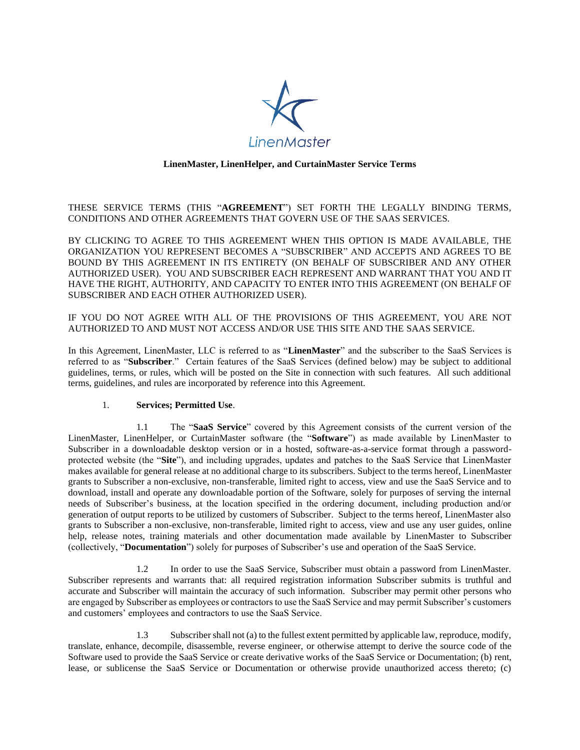

## **LinenMaster, LinenHelper, and CurtainMaster Service Terms**

THESE SERVICE TERMS (THIS "**AGREEMENT**") SET FORTH THE LEGALLY BINDING TERMS, CONDITIONS AND OTHER AGREEMENTS THAT GOVERN USE OF THE SAAS SERVICES.

BY CLICKING TO AGREE TO THIS AGREEMENT WHEN THIS OPTION IS MADE AVAILABLE, THE ORGANIZATION YOU REPRESENT BECOMES A "SUBSCRIBER" AND ACCEPTS AND AGREES TO BE BOUND BY THIS AGREEMENT IN ITS ENTIRETY (ON BEHALF OF SUBSCRIBER AND ANY OTHER AUTHORIZED USER). YOU AND SUBSCRIBER EACH REPRESENT AND WARRANT THAT YOU AND IT HAVE THE RIGHT, AUTHORITY, AND CAPACITY TO ENTER INTO THIS AGREEMENT (ON BEHALF OF SUBSCRIBER AND EACH OTHER AUTHORIZED USER).

IF YOU DO NOT AGREE WITH ALL OF THE PROVISIONS OF THIS AGREEMENT, YOU ARE NOT AUTHORIZED TO AND MUST NOT ACCESS AND/OR USE THIS SITE AND THE SAAS SERVICE.

In this Agreement, LinenMaster, LLC is referred to as "**LinenMaster**" and the subscriber to the SaaS Services is referred to as "**Subscriber**." Certain features of the SaaS Services (defined below) may be subject to additional guidelines, terms, or rules, which will be posted on the Site in connection with such features. All such additional terms, guidelines, and rules are incorporated by reference into this Agreement.

### 1. **Services; Permitted Use**.

1.1 The "**SaaS Service**" covered by this Agreement consists of the current version of the LinenMaster, LinenHelper, or CurtainMaster software (the "**Software**") as made available by LinenMaster to Subscriber in a downloadable desktop version or in a hosted, software-as-a-service format through a passwordprotected website (the "**Site**"), and including upgrades, updates and patches to the SaaS Service that LinenMaster makes available for general release at no additional charge to its subscribers. Subject to the terms hereof, LinenMaster grants to Subscriber a non-exclusive, non-transferable, limited right to access, view and use the SaaS Service and to download, install and operate any downloadable portion of the Software, solely for purposes of serving the internal needs of Subscriber's business, at the location specified in the ordering document, including production and/or generation of output reports to be utilized by customers of Subscriber. Subject to the terms hereof, LinenMaster also grants to Subscriber a non-exclusive, non-transferable, limited right to access, view and use any user guides, online help, release notes, training materials and other documentation made available by LinenMaster to Subscriber (collectively, "**Documentation**") solely for purposes of Subscriber's use and operation of the SaaS Service.

1.2 In order to use the SaaS Service, Subscriber must obtain a password from LinenMaster. Subscriber represents and warrants that: all required registration information Subscriber submits is truthful and accurate and Subscriber will maintain the accuracy of such information. Subscriber may permit other persons who are engaged by Subscriber as employees or contractors to use the SaaS Service and may permit Subscriber's customers and customers' employees and contractors to use the SaaS Service.

1.3 Subscriber shall not (a) to the fullest extent permitted by applicable law, reproduce, modify, translate, enhance, decompile, disassemble, reverse engineer, or otherwise attempt to derive the source code of the Software used to provide the SaaS Service or create derivative works of the SaaS Service or Documentation; (b) rent, lease, or sublicense the SaaS Service or Documentation or otherwise provide unauthorized access thereto; (c)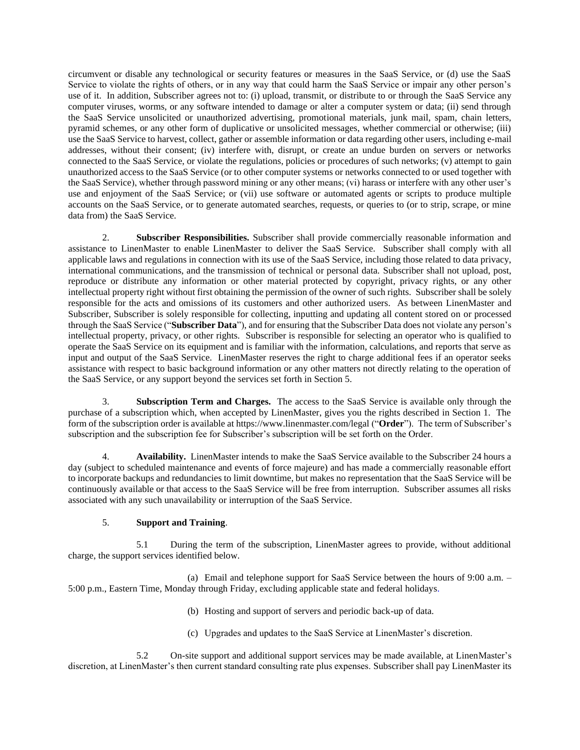circumvent or disable any technological or security features or measures in the SaaS Service, or (d) use the SaaS Service to violate the rights of others, or in any way that could harm the SaaS Service or impair any other person's use of it. In addition, Subscriber agrees not to: (i) upload, transmit, or distribute to or through the SaaS Service any computer viruses, worms, or any software intended to damage or alter a computer system or data; (ii) send through the SaaS Service unsolicited or unauthorized advertising, promotional materials, junk mail, spam, chain letters, pyramid schemes, or any other form of duplicative or unsolicited messages, whether commercial or otherwise; (iii) use the SaaS Service to harvest, collect, gather or assemble information or data regarding other users, including e-mail addresses, without their consent; (iv) interfere with, disrupt, or create an undue burden on servers or networks connected to the SaaS Service, or violate the regulations, policies or procedures of such networks; (v) attempt to gain unauthorized access to the SaaS Service (or to other computer systems or networks connected to or used together with the SaaS Service), whether through password mining or any other means; (vi) harass or interfere with any other user's use and enjoyment of the SaaS Service; or (vii) use software or automated agents or scripts to produce multiple accounts on the SaaS Service, or to generate automated searches, requests, or queries to (or to strip, scrape, or mine data from) the SaaS Service.

2. **Subscriber Responsibilities.** Subscriber shall provide commercially reasonable information and assistance to LinenMaster to enable LinenMaster to deliver the SaaS Service. Subscriber shall comply with all applicable laws and regulations in connection with its use of the SaaS Service, including those related to data privacy, international communications, and the transmission of technical or personal data. Subscriber shall not upload, post, reproduce or distribute any information or other material protected by copyright, privacy rights, or any other intellectual property right without first obtaining the permission of the owner of such rights. Subscriber shall be solely responsible for the acts and omissions of its customers and other authorized users. As between LinenMaster and Subscriber, Subscriber is solely responsible for collecting, inputting and updating all content stored on or processed through the SaaS Service ("**Subscriber Data**"), and for ensuring that the Subscriber Data does not violate any person's intellectual property, privacy, or other rights. Subscriber is responsible for selecting an operator who is qualified to operate the SaaS Service on its equipment and is familiar with the information, calculations, and reports that serve as input and output of the SaaS Service. LinenMaster reserves the right to charge additional fees if an operator seeks assistance with respect to basic background information or any other matters not directly relating to the operation of the SaaS Service, or any support beyond the services set forth in Section 5.

3. **Subscription Term and Charges.** The access to the SaaS Service is available only through the purchase of a subscription which, when accepted by LinenMaster, gives you the rights described in Section 1. The form of the subscription order is available at https://www.linenmaster.com/legal ("**Order**"). The term of Subscriber's subscription and the subscription fee for Subscriber's subscription will be set forth on the Order.

4. **Availability.** LinenMaster intends to make the SaaS Service available to the Subscriber 24 hours a day (subject to scheduled maintenance and events of force majeure) and has made a commercially reasonable effort to incorporate backups and redundancies to limit downtime, but makes no representation that the SaaS Service will be continuously available or that access to the SaaS Service will be free from interruption. Subscriber assumes all risks associated with any such unavailability or interruption of the SaaS Service.

## 5. **Support and Training**.

5.1 During the term of the subscription, LinenMaster agrees to provide, without additional charge, the support services identified below.

(a) Email and telephone support for SaaS Service between the hours of 9:00 a.m. – 5:00 p.m., Eastern Time, Monday through Friday, excluding applicable state and federal holidays.

- (b) Hosting and support of servers and periodic back-up of data.
- (c) Upgrades and updates to the SaaS Service at LinenMaster's discretion.

5.2 On-site support and additional support services may be made available, at LinenMaster's discretion, at LinenMaster's then current standard consulting rate plus expenses. Subscriber shall pay LinenMaster its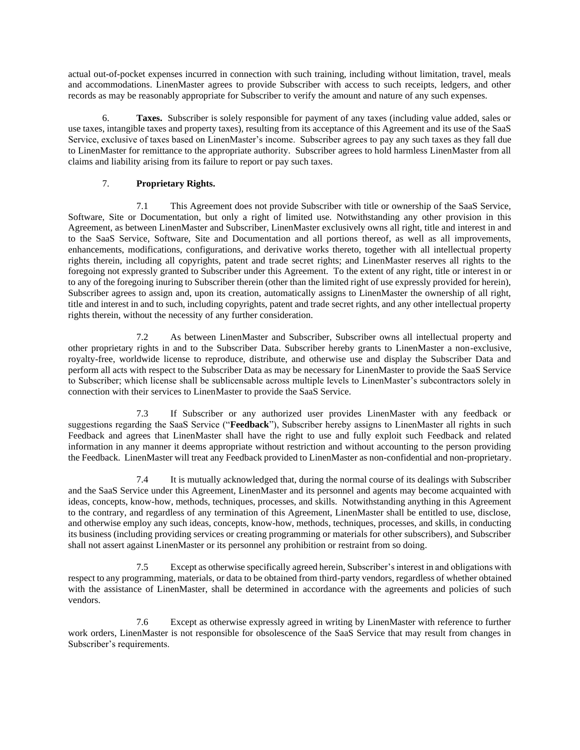actual out-of-pocket expenses incurred in connection with such training, including without limitation, travel, meals and accommodations. LinenMaster agrees to provide Subscriber with access to such receipts, ledgers, and other records as may be reasonably appropriate for Subscriber to verify the amount and nature of any such expenses.

6. **Taxes.** Subscriber is solely responsible for payment of any taxes (including value added, sales or use taxes, intangible taxes and property taxes), resulting from its acceptance of this Agreement and its use of the SaaS Service, exclusive of taxes based on LinenMaster's income. Subscriber agrees to pay any such taxes as they fall due to LinenMaster for remittance to the appropriate authority. Subscriber agrees to hold harmless LinenMaster from all claims and liability arising from its failure to report or pay such taxes.

# 7. **Proprietary Rights.**

7.1 This Agreement does not provide Subscriber with title or ownership of the SaaS Service, Software, Site or Documentation, but only a right of limited use. Notwithstanding any other provision in this Agreement, as between LinenMaster and Subscriber, LinenMaster exclusively owns all right, title and interest in and to the SaaS Service, Software, Site and Documentation and all portions thereof, as well as all improvements, enhancements, modifications, configurations, and derivative works thereto, together with all intellectual property rights therein, including all copyrights, patent and trade secret rights; and LinenMaster reserves all rights to the foregoing not expressly granted to Subscriber under this Agreement. To the extent of any right, title or interest in or to any of the foregoing inuring to Subscriber therein (other than the limited right of use expressly provided for herein), Subscriber agrees to assign and, upon its creation, automatically assigns to LinenMaster the ownership of all right, title and interest in and to such, including copyrights, patent and trade secret rights, and any other intellectual property rights therein, without the necessity of any further consideration.

7.2 As between LinenMaster and Subscriber, Subscriber owns all intellectual property and other proprietary rights in and to the Subscriber Data. Subscriber hereby grants to LinenMaster a non-exclusive, royalty-free, worldwide license to reproduce, distribute, and otherwise use and display the Subscriber Data and perform all acts with respect to the Subscriber Data as may be necessary for LinenMaster to provide the SaaS Service to Subscriber; which license shall be sublicensable across multiple levels to LinenMaster's subcontractors solely in connection with their services to LinenMaster to provide the SaaS Service.

7.3 If Subscriber or any authorized user provides LinenMaster with any feedback or suggestions regarding the SaaS Service ("**Feedback**"), Subscriber hereby assigns to LinenMaster all rights in such Feedback and agrees that LinenMaster shall have the right to use and fully exploit such Feedback and related information in any manner it deems appropriate without restriction and without accounting to the person providing the Feedback. LinenMaster will treat any Feedback provided to LinenMaster as non-confidential and non-proprietary.

7.4 It is mutually acknowledged that, during the normal course of its dealings with Subscriber and the SaaS Service under this Agreement, LinenMaster and its personnel and agents may become acquainted with ideas, concepts, know-how, methods, techniques, processes, and skills. Notwithstanding anything in this Agreement to the contrary, and regardless of any termination of this Agreement, LinenMaster shall be entitled to use, disclose, and otherwise employ any such ideas, concepts, know-how, methods, techniques, processes, and skills, in conducting its business (including providing services or creating programming or materials for other subscribers), and Subscriber shall not assert against LinenMaster or its personnel any prohibition or restraint from so doing.

7.5 Except as otherwise specifically agreed herein, Subscriber's interest in and obligations with respect to any programming, materials, or data to be obtained from third-party vendors, regardless of whether obtained with the assistance of LinenMaster, shall be determined in accordance with the agreements and policies of such vendors.

7.6 Except as otherwise expressly agreed in writing by LinenMaster with reference to further work orders, LinenMaster is not responsible for obsolescence of the SaaS Service that may result from changes in Subscriber's requirements.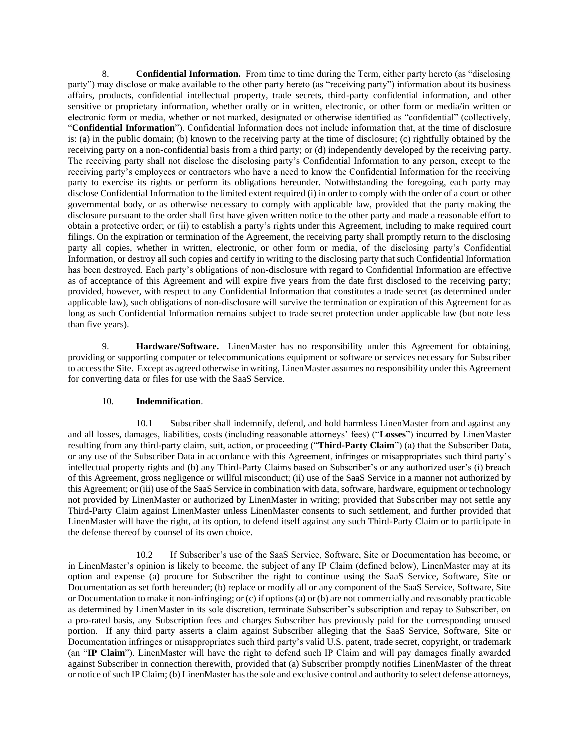8. **Confidential Information.** From time to time during the Term, either party hereto (as "disclosing party") may disclose or make available to the other party hereto (as "receiving party") information about its business affairs, products, confidential intellectual property, trade secrets, third-party confidential information, and other sensitive or proprietary information, whether orally or in written, electronic, or other form or media/in written or electronic form or media, whether or not marked, designated or otherwise identified as "confidential" (collectively, "**Confidential Information**"). Confidential Information does not include information that, at the time of disclosure is: (a) in the public domain; (b) known to the receiving party at the time of disclosure; (c) rightfully obtained by the receiving party on a non-confidential basis from a third party; or (d) independently developed by the receiving party. The receiving party shall not disclose the disclosing party's Confidential Information to any person, except to the receiving party's employees or contractors who have a need to know the Confidential Information for the receiving party to exercise its rights or perform its obligations hereunder. Notwithstanding the foregoing, each party may disclose Confidential Information to the limited extent required (i) in order to comply with the order of a court or other governmental body, or as otherwise necessary to comply with applicable law, provided that the party making the disclosure pursuant to the order shall first have given written notice to the other party and made a reasonable effort to obtain a protective order; or (ii) to establish a party's rights under this Agreement, including to make required court filings. On the expiration or termination of the Agreement, the receiving party shall promptly return to the disclosing party all copies, whether in written, electronic, or other form or media, of the disclosing party's Confidential Information, or destroy all such copies and certify in writing to the disclosing party that such Confidential Information has been destroyed. Each party's obligations of non-disclosure with regard to Confidential Information are effective as of acceptance of this Agreement and will expire five years from the date first disclosed to the receiving party; provided, however, with respect to any Confidential Information that constitutes a trade secret (as determined under applicable law), such obligations of non-disclosure will survive the termination or expiration of this Agreement for as long as such Confidential Information remains subject to trade secret protection under applicable law (but note less than five years).

9. **Hardware/Software.** LinenMaster has no responsibility under this Agreement for obtaining, providing or supporting computer or telecommunications equipment or software or services necessary for Subscriber to access the Site. Except as agreed otherwise in writing, LinenMaster assumes no responsibility under this Agreement for converting data or files for use with the SaaS Service.

### 10. **Indemnification**.

10.1 Subscriber shall indemnify, defend, and hold harmless LinenMaster from and against any and all losses, damages, liabilities, costs (including reasonable attorneys' fees) ("**Losses**") incurred by LinenMaster resulting from any third-party claim, suit, action, or proceeding ("**Third-Party Claim**") (a) that the Subscriber Data, or any use of the Subscriber Data in accordance with this Agreement, infringes or misappropriates such third party's intellectual property rights and (b) any Third-Party Claims based on Subscriber's or any authorized user's (i) breach of this Agreement, gross negligence or willful misconduct; (ii) use of the SaaS Service in a manner not authorized by this Agreement; or (iii) use of the SaaS Service in combination with data, software, hardware, equipment or technology not provided by LinenMaster or authorized by LinenMaster in writing; provided that Subscriber may not settle any Third-Party Claim against LinenMaster unless LinenMaster consents to such settlement, and further provided that LinenMaster will have the right, at its option, to defend itself against any such Third-Party Claim or to participate in the defense thereof by counsel of its own choice.

10.2 If Subscriber's use of the SaaS Service, Software, Site or Documentation has become, or in LinenMaster's opinion is likely to become, the subject of any IP Claim (defined below), LinenMaster may at its option and expense (a) procure for Subscriber the right to continue using the SaaS Service, Software, Site or Documentation as set forth hereunder; (b) replace or modify all or any component of the SaaS Service, Software, Site or Documentation to make it non-infringing; or (c) if options (a) or (b) are not commercially and reasonably practicable as determined by LinenMaster in its sole discretion, terminate Subscriber's subscription and repay to Subscriber, on a pro-rated basis, any Subscription fees and charges Subscriber has previously paid for the corresponding unused portion. If any third party asserts a claim against Subscriber alleging that the SaaS Service, Software, Site or Documentation infringes or misappropriates such third party's valid U.S. patent, trade secret, copyright, or trademark (an "**IP Claim**"). LinenMaster will have the right to defend such IP Claim and will pay damages finally awarded against Subscriber in connection therewith, provided that (a) Subscriber promptly notifies LinenMaster of the threat or notice of such IP Claim; (b) LinenMaster has the sole and exclusive control and authority to select defense attorneys,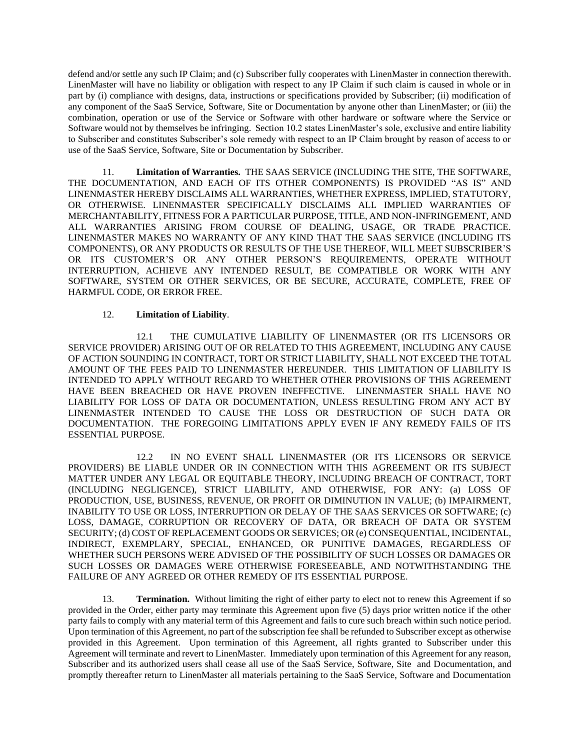defend and/or settle any such IP Claim; and (c) Subscriber fully cooperates with LinenMaster in connection therewith. LinenMaster will have no liability or obligation with respect to any IP Claim if such claim is caused in whole or in part by (i) compliance with designs, data, instructions or specifications provided by Subscriber; (ii) modification of any component of the SaaS Service, Software, Site or Documentation by anyone other than LinenMaster; or (iii) the combination, operation or use of the Service or Software with other hardware or software where the Service or Software would not by themselves be infringing. Section 10.2 states LinenMaster's sole, exclusive and entire liability to Subscriber and constitutes Subscriber's sole remedy with respect to an IP Claim brought by reason of access to or use of the SaaS Service, Software, Site or Documentation by Subscriber.

11. **Limitation of Warranties.** THE SAAS SERVICE (INCLUDING THE SITE, THE SOFTWARE, THE DOCUMENTATION, AND EACH OF ITS OTHER COMPONENTS) IS PROVIDED "AS IS" AND LINENMASTER HEREBY DISCLAIMS ALL WARRANTIES, WHETHER EXPRESS, IMPLIED, STATUTORY, OR OTHERWISE. LINENMASTER SPECIFICALLY DISCLAIMS ALL IMPLIED WARRANTIES OF MERCHANTABILITY, FITNESS FOR A PARTICULAR PURPOSE, TITLE, AND NON-INFRINGEMENT, AND ALL WARRANTIES ARISING FROM COURSE OF DEALING, USAGE, OR TRADE PRACTICE. LINENMASTER MAKES NO WARRANTY OF ANY KIND THAT THE SAAS SERVICE (INCLUDING ITS COMPONENTS), OR ANY PRODUCTS OR RESULTS OF THE USE THEREOF, WILL MEET SUBSCRIBER'S OR ITS CUSTOMER'S OR ANY OTHER PERSON'S REQUIREMENTS, OPERATE WITHOUT INTERRUPTION, ACHIEVE ANY INTENDED RESULT, BE COMPATIBLE OR WORK WITH ANY SOFTWARE, SYSTEM OR OTHER SERVICES, OR BE SECURE, ACCURATE, COMPLETE, FREE OF HARMFUL CODE, OR ERROR FREE.

### 12. **Limitation of Liability**.

12.1 THE CUMULATIVE LIABILITY OF LINENMASTER (OR ITS LICENSORS OR SERVICE PROVIDER) ARISING OUT OF OR RELATED TO THIS AGREEMENT, INCLUDING ANY CAUSE OF ACTION SOUNDING IN CONTRACT, TORT OR STRICT LIABILITY, SHALL NOT EXCEED THE TOTAL AMOUNT OF THE FEES PAID TO LINENMASTER HEREUNDER. THIS LIMITATION OF LIABILITY IS INTENDED TO APPLY WITHOUT REGARD TO WHETHER OTHER PROVISIONS OF THIS AGREEMENT HAVE BEEN BREACHED OR HAVE PROVEN INEFFECTIVE. LINENMASTER SHALL HAVE NO LIABILITY FOR LOSS OF DATA OR DOCUMENTATION, UNLESS RESULTING FROM ANY ACT BY LINENMASTER INTENDED TO CAUSE THE LOSS OR DESTRUCTION OF SUCH DATA OR DOCUMENTATION. THE FOREGOING LIMITATIONS APPLY EVEN IF ANY REMEDY FAILS OF ITS ESSENTIAL PURPOSE.

12.2 IN NO EVENT SHALL LINENMASTER (OR ITS LICENSORS OR SERVICE PROVIDERS) BE LIABLE UNDER OR IN CONNECTION WITH THIS AGREEMENT OR ITS SUBJECT MATTER UNDER ANY LEGAL OR EQUITABLE THEORY, INCLUDING BREACH OF CONTRACT, TORT (INCLUDING NEGLIGENCE), STRICT LIABILITY, AND OTHERWISE, FOR ANY: (a) LOSS OF PRODUCTION, USE, BUSINESS, REVENUE, OR PROFIT OR DIMINUTION IN VALUE; (b) IMPAIRMENT, INABILITY TO USE OR LOSS, INTERRUPTION OR DELAY OF THE SAAS SERVICES OR SOFTWARE; (c) LOSS, DAMAGE, CORRUPTION OR RECOVERY OF DATA, OR BREACH OF DATA OR SYSTEM SECURITY; (d) COST OF REPLACEMENT GOODS OR SERVICES; OR (e) CONSEQUENTIAL, INCIDENTAL, INDIRECT, EXEMPLARY, SPECIAL, ENHANCED, OR PUNITIVE DAMAGES, REGARDLESS OF WHETHER SUCH PERSONS WERE ADVISED OF THE POSSIBILITY OF SUCH LOSSES OR DAMAGES OR SUCH LOSSES OR DAMAGES WERE OTHERWISE FORESEEABLE, AND NOTWITHSTANDING THE FAILURE OF ANY AGREED OR OTHER REMEDY OF ITS ESSENTIAL PURPOSE.

13. **Termination.** Without limiting the right of either party to elect not to renew this Agreement if so provided in the Order, either party may terminate this Agreement upon five (5) days prior written notice if the other party fails to comply with any material term of this Agreement and fails to cure such breach within such notice period. Upon termination of this Agreement, no part of the subscription fee shall be refunded to Subscriber except as otherwise provided in this Agreement. Upon termination of this Agreement, all rights granted to Subscriber under this Agreement will terminate and revert to LinenMaster. Immediately upon termination of this Agreement for any reason, Subscriber and its authorized users shall cease all use of the SaaS Service, Software, Site and Documentation, and promptly thereafter return to LinenMaster all materials pertaining to the SaaS Service, Software and Documentation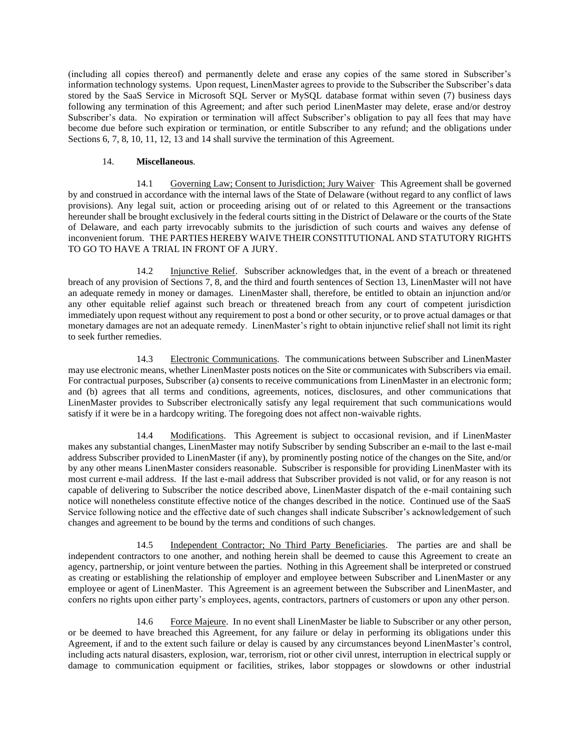(including all copies thereof) and permanently delete and erase any copies of the same stored in Subscriber's information technology systems. Upon request, LinenMaster agrees to provide to the Subscriber the Subscriber's data stored by the SaaS Service in Microsoft SQL Server or MySQL database format within seven (7) business days following any termination of this Agreement; and after such period LinenMaster may delete, erase and/or destroy Subscriber's data. No expiration or termination will affect Subscriber's obligation to pay all fees that may have become due before such expiration or termination, or entitle Subscriber to any refund; and the obligations under Sections 6, 7, 8, 10, 11, 12, 13 and 14 shall survive the termination of this Agreement.

### 14. **Miscellaneous**.

14.1 Governing Law; Consent to Jurisdiction; Jury Waiver This Agreement shall be governed by and construed in accordance with the internal laws of the State of Delaware (without regard to any conflict of laws provisions). Any legal suit, action or proceeding arising out of or related to this Agreement or the transactions hereunder shall be brought exclusively in the federal courts sitting in the District of Delaware or the courts of the State of Delaware, and each party irrevocably submits to the jurisdiction of such courts and waives any defense of inconvenient forum. THE PARTIES HEREBY WAIVE THEIR CONSTITUTIONAL AND STATUTORY RIGHTS TO GO TO HAVE A TRIAL IN FRONT OF A JURY.

14.2 Injunctive Relief.Subscriber acknowledges that, in the event of a breach or threatened breach of any provision of Sections 7, 8, and the third and fourth sentences of Section 13, LinenMaster will not have an adequate remedy in money or damages. LinenMaster shall, therefore, be entitled to obtain an injunction and/or any other equitable relief against such breach or threatened breach from any court of competent jurisdiction immediately upon request without any requirement to post a bond or other security, or to prove actual damages or that monetary damages are not an adequate remedy. LinenMaster's right to obtain injunctive relief shall not limit its right to seek further remedies.

14.3 Electronic Communications. The communications between Subscriber and LinenMaster may use electronic means, whether LinenMaster posts notices on the Site or communicates with Subscribers via email. For contractual purposes, Subscriber (a) consents to receive communications from LinenMaster in an electronic form; and (b) agrees that all terms and conditions, agreements, notices, disclosures, and other communications that LinenMaster provides to Subscriber electronically satisfy any legal requirement that such communications would satisfy if it were be in a hardcopy writing. The foregoing does not affect non-waivable rights.

14.4 Modifications.This Agreement is subject to occasional revision, and if LinenMaster makes any substantial changes, LinenMaster may notify Subscriber by sending Subscriber an e-mail to the last e-mail address Subscriber provided to LinenMaster (if any), by prominently posting notice of the changes on the Site, and/or by any other means LinenMaster considers reasonable. Subscriber is responsible for providing LinenMaster with its most current e-mail address. If the last e-mail address that Subscriber provided is not valid, or for any reason is not capable of delivering to Subscriber the notice described above, LinenMaster dispatch of the e-mail containing such notice will nonetheless constitute effective notice of the changes described in the notice. Continued use of the SaaS Service following notice and the effective date of such changes shall indicate Subscriber's acknowledgement of such changes and agreement to be bound by the terms and conditions of such changes.

14.5 Independent Contractor; No Third Party Beneficiaries. The parties are and shall be independent contractors to one another, and nothing herein shall be deemed to cause this Agreement to create an agency, partnership, or joint venture between the parties. Nothing in this Agreement shall be interpreted or construed as creating or establishing the relationship of employer and employee between Subscriber and LinenMaster or any employee or agent of LinenMaster. This Agreement is an agreement between the Subscriber and LinenMaster, and confers no rights upon either party's employees, agents, contractors, partners of customers or upon any other person.

14.6 Force Majeure. In no event shall LinenMaster be liable to Subscriber or any other person, or be deemed to have breached this Agreement, for any failure or delay in performing its obligations under this Agreement, if and to the extent such failure or delay is caused by any circumstances beyond LinenMaster's control, including acts natural disasters, explosion, war, terrorism, riot or other civil unrest, interruption in electrical supply or damage to communication equipment or facilities, strikes, labor stoppages or slowdowns or other industrial